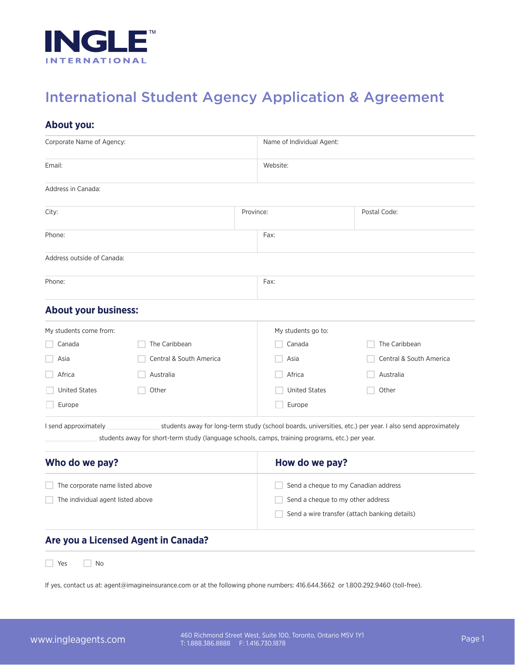

# International Student Agency Application & Agreement

## **About you:**

| Corporate Name of Agency:         |                                                                                                 |                | Name of Individual Agent:            |                                                                                                           |  |
|-----------------------------------|-------------------------------------------------------------------------------------------------|----------------|--------------------------------------|-----------------------------------------------------------------------------------------------------------|--|
| Email:                            |                                                                                                 |                | Website:                             |                                                                                                           |  |
| Address in Canada:                |                                                                                                 |                |                                      |                                                                                                           |  |
| City:                             |                                                                                                 | Province:      |                                      | Postal Code:                                                                                              |  |
| Phone:                            |                                                                                                 |                | Fax:                                 |                                                                                                           |  |
| Address outside of Canada:        |                                                                                                 |                |                                      |                                                                                                           |  |
| Phone:                            |                                                                                                 |                | Fax:                                 |                                                                                                           |  |
| <b>About your business:</b>       |                                                                                                 |                |                                      |                                                                                                           |  |
| My students come from:            |                                                                                                 |                | My students go to:                   |                                                                                                           |  |
| Canada                            | The Caribbean                                                                                   |                | Canada                               | The Caribbean                                                                                             |  |
| Asia                              | Central & South America                                                                         |                | Asia                                 | Central & South America                                                                                   |  |
| Africa                            | Australia                                                                                       |                | Africa                               | Australia                                                                                                 |  |
| <b>United States</b>              | Other                                                                                           |                | <b>United States</b>                 | Other                                                                                                     |  |
| Europe                            |                                                                                                 |                | Europe                               |                                                                                                           |  |
| I send approximately              | students away for short-term study (language schools, camps, training programs, etc.) per year. |                |                                      | students away for long-term study (school boards, universities, etc.) per year. I also send approximately |  |
| Who do we pay?                    |                                                                                                 | How do we pay? |                                      |                                                                                                           |  |
| The corporate name listed above   |                                                                                                 |                | Send a cheque to my Canadian address |                                                                                                           |  |
| The individual agent listed above |                                                                                                 |                | Send a cheque to my other address    |                                                                                                           |  |
|                                   |                                                                                                 |                |                                      | Send a wire transfer (attach banking details)                                                             |  |
|                                   | Are you a Licensed Agent in Canada?                                                             |                |                                      |                                                                                                           |  |
| Yes<br>No                         |                                                                                                 |                |                                      |                                                                                                           |  |

If yes, contact us at: agent@imagineinsurance.com or at the following phone numbers: 416.644.3662 or 1.800.292.9460 (toll-free).